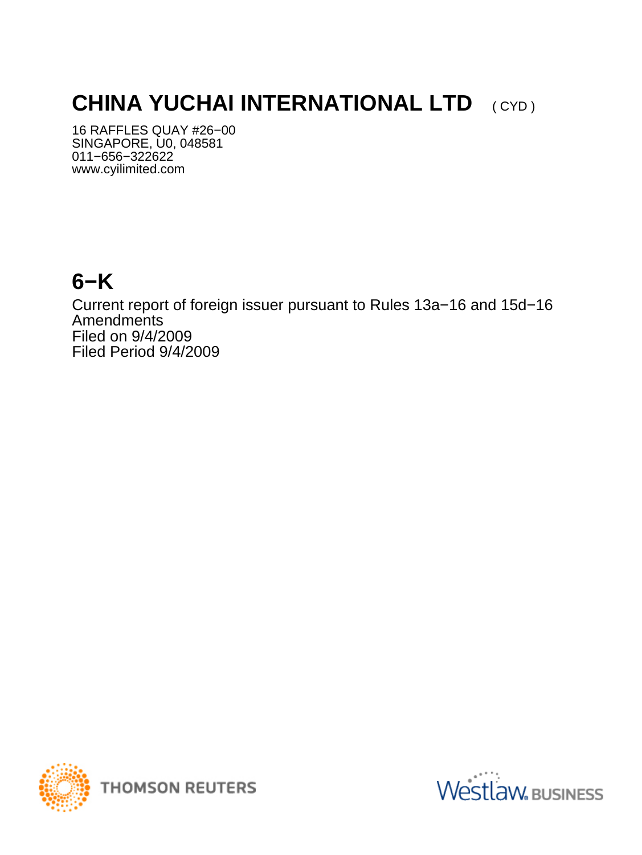# **CHINA YUCHAI INTERNATIONAL LTD** (CYD)

16 RAFFLES QUAY #26−00 SINGAPORE, U0, 048581 011−656−322622 www.cyilimited.com

## **6−K**

Current report of foreign issuer pursuant to Rules 13a−16 and 15d−16 Amendments Filed on 9/4/2009 Filed Period 9/4/2009



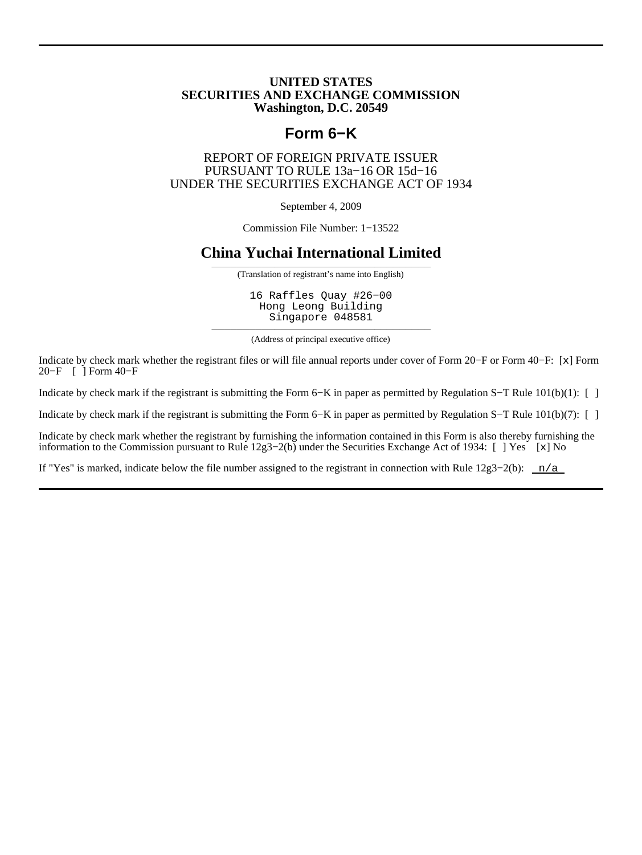#### **UNITED STATES SECURITIES AND EXCHANGE COMMISSION Washington, D.C. 20549**

## **Form 6−K**

#### REPORT OF FOREIGN PRIVATE ISSUER PURSUANT TO RULE 13a−16 OR 15d−16 UNDER THE SECURITIES EXCHANGE ACT OF 1934

September 4, 2009

Commission File Number: 1−13522

## **China Yuchai International Limited**

——————————————————————————————————— (Translation of registrant's name into English)

16 Raffles Quay #26−00 Hong Leong Building Singapore 048581

——————————————————————————————————— (Address of principal executive office)

Indicate by check mark whether the registrant files or will file annual reports under cover of Form 20−F or Form 40−F: [x] Form 20−F [ ] Form 40−F

Indicate by check mark if the registrant is submitting the Form 6−K in paper as permitted by Regulation S−T Rule 101(b)(1): [ ]

Indicate by check mark if the registrant is submitting the Form 6−K in paper as permitted by Regulation S−T Rule 101(b)(7): [ ]

Indicate by check mark whether the registrant by furnishing the information contained in this Form is also thereby furnishing the information to the Commission pursuant to Rule 12g3−2(b) under the Securities Exchange Act of 1934: [ ] Yes [x] No

If "Yes" is marked, indicate below the file number assigned to the registrant in connection with Rule  $12g3-2(b)$ : n/a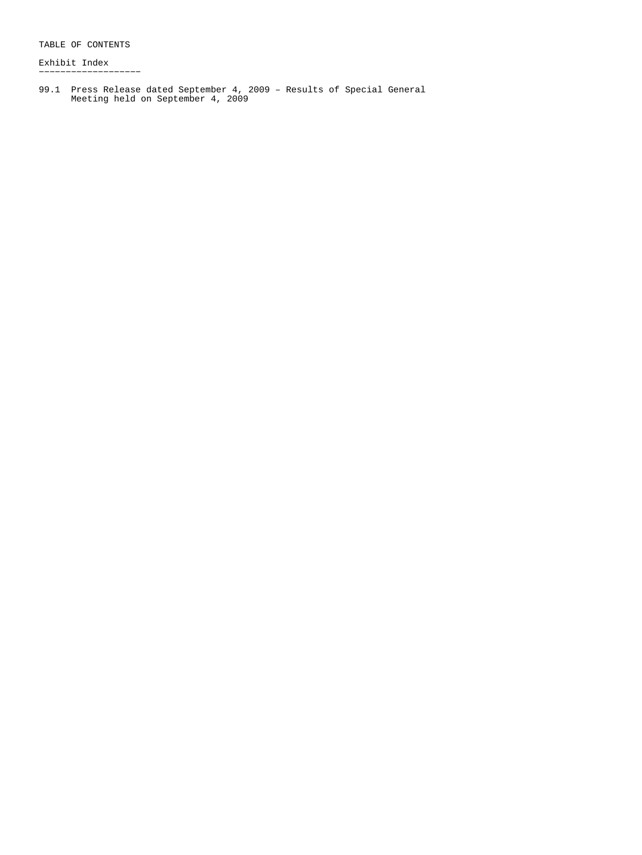TABLE OF CONTENTS

Exhibit Index −−−−−−−−−−−−−−−−−−−

99.1 Press Release dated September 4, 2009 – Results of Special General Meeting held on September 4, 2009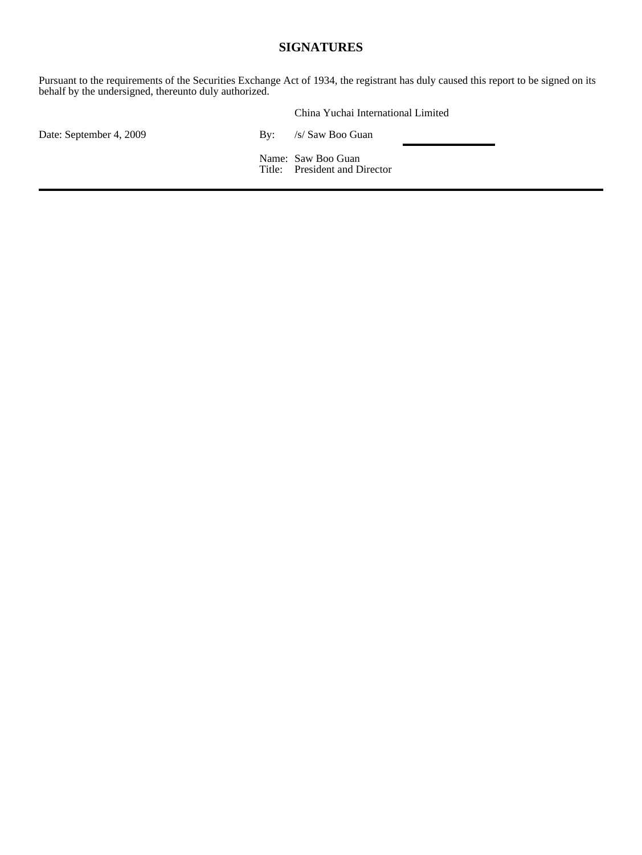## **SIGNATURES**

Pursuant to the requirements of the Securities Exchange Act of 1934, the registrant has duly caused this report to be signed on its behalf by the undersigned, thereunto duly authorized.

|                         |     | China Yuchai International Limited                  |  |
|-------------------------|-----|-----------------------------------------------------|--|
| Date: September 4, 2009 | Bv: | /s/ Saw Boo Guan                                    |  |
|                         |     | Name: Saw Boo Guan<br>Title: President and Director |  |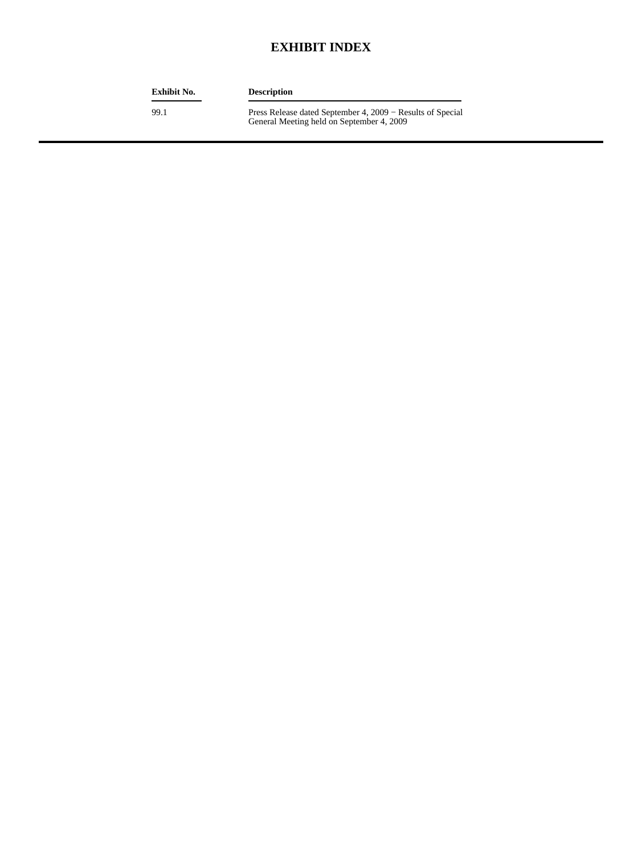## **EXHIBIT INDEX**

| <b>Exhibit No.</b> | <b>Description</b>                                                                                      |
|--------------------|---------------------------------------------------------------------------------------------------------|
| 99.1               | Press Release dated September 4, 2009 – Results of Special<br>General Meeting held on September 4, 2009 |